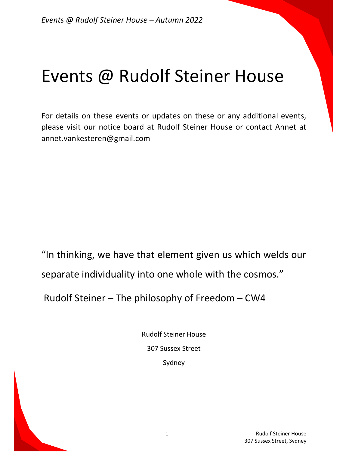# Events @ Rudolf Steiner House

For details on these events or updates on these or any additional events, please visit our notice board at Rudolf Steiner House or contact Annet at annet.vankesteren@gmail.com

"In thinking, we have that element given us which welds our separate individuality into one whole with the cosmos."

Rudolf Steiner – The philosophy of Freedom – CW4

Rudolf Steiner House 307 Sussex Street Sydney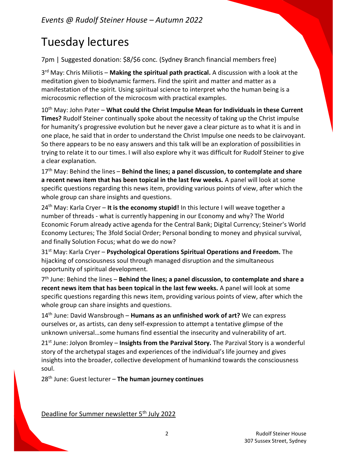# Tuesday lectures

7pm | Suggested donation: \$8/\$6 conc. (Sydney Branch financial members free)

3<sup>rd</sup> May: Chris Miliotis – Making the spiritual path practical. A discussion with a look at the meditation given to biodynamic farmers. Find the spirit and matter and matter as a manifestation of the spirit. Using spiritual science to interpret who the human being is a microcosmic reflection of the microcosm with practical examples.

10<sup>th</sup> May: John Pater – What could the Christ Impulse Mean for Individuals in these Current Times? Rudolf Steiner continually spoke about the necessity of taking up the Christ impulse for humanity's progressive evolution but he never gave a clear picture as to what it is and in one place, he said that in order to understand the Christ Impulse one needs to be clairvoyant. So there appears to be no easy answers and this talk will be an exploration of possibilities in trying to relate it to our times. I will also explore why it was difficult for Rudolf Steiner to give a clear explanation.

 $17<sup>th</sup>$  May: Behind the lines – Behind the lines; a panel discussion, to contemplate and share a recent news item that has been topical in the last few weeks. A panel will look at some specific questions regarding this news item, providing various points of view, after which the whole group can share insights and questions.

 $24<sup>th</sup>$  May: Karla Cryer – It is the economy stupid! In this lecture I will weave together a number of threads - what is currently happening in our Economy and why? The World Economic Forum already active agenda for the Central Bank; Digital Currency; Steiner's World Economy Lectures; The 3fold Social Order; Personal bonding to money and physical survival, and finally Solution Focus; what do we do now?

 $31<sup>st</sup>$  May: Karla Cryer – Psychological Operations Spiritual Operations and Freedom. The hijacking of consciousness soul through managed disruption and the simultaneous opportunity of spiritual development.

7<sup>th</sup> June: Behind the lines – Behind the lines; a panel discussion, to contemplate and share a recent news item that has been topical in the last few weeks. A panel will look at some specific questions regarding this news item, providing various points of view, after which the whole group can share insights and questions.

 $14<sup>th</sup>$  June: David Wansbrough – **Humans as an unfinished work of art?** We can express ourselves or, as artists, can deny self-expression to attempt a tentative glimpse of the unknown universal…some humans find essential the insecurity and vulnerability of art.

 $21<sup>st</sup>$  June: Jolyon Bromley – Insights from the Parzival Story. The Parzival Story is a wonderful story of the archetypal stages and experiences of the individual's life journey and gives insights into the broader, collective development of humankind towards the consciousness soul.

 $28<sup>th</sup>$  June: Guest lecturer – The human journey continues

Deadline for Summer newsletter 5<sup>th</sup> July 2022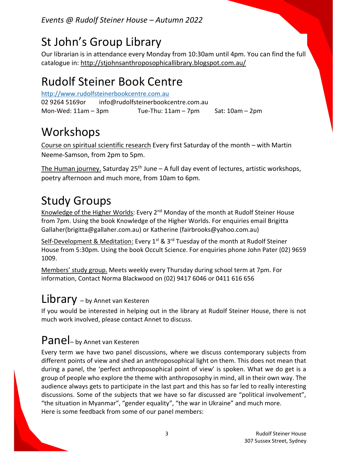Events @ Rudolf Steiner House – Autumn 2022

### St John's Group Library

Our librarian is in attendance every Monday from 10:30am until 4pm. You can find the full catalogue in: http://stjohnsanthroposophicallibrary.blogspot.com.au/

### Rudolf Steiner Book Centre

http://www.rudolfsteinerbookcentre.com.au 02 9264 5169 or info@rudolfsteinerbookcentre.com.au Mon-Wed: 11am – 3pm Tue-Thu: 11am – 7pm Sat: 10am – 2pm

## Workshops

Course on spiritual scientific research Every first Saturday of the month – with Martin Neeme-Samson, from 2pm to 5pm.

The Human journey. Saturday  $25<sup>th</sup>$  June – A full day event of lectures, artistic workshops, poetry afternoon and much more, from 10am to 6pm.

# Study Groups

Knowledge of the Higher Worlds: Every 2<sup>nd</sup> Monday of the month at Rudolf Steiner House from 7pm. Using the book Knowledge of the Higher Worlds. For enquiries email Brigitta Gallaher(brigitta@gallaher.com.au) or Katherine (fairbrooks@yahoo.com.au)

Self-Development & Meditation: Every 1<sup>st</sup> & 3<sup>rd</sup> Tuesday of the month at Rudolf Steiner House from 5:30pm. Using the book Occult Science. For enquiries phone John Pater (02) 9659 1009.

Members' study group. Meets weekly every Thursday during school term at 7pm. For information, Contact Norma Blackwood on (02) 9417 6046 or 0411 616 656

#### Library – by Annet van Kesteren

If you would be interested in helping out in the library at Rudolf Steiner House, there is not much work involved, please contact Annet to discuss.

#### Panel– by Annet van Kesteren

Every term we have two panel discussions, where we discuss contemporary subjects from different points of view and shed an anthroposophical light on them. This does not mean that during a panel, the 'perfect anthroposophical point of view' is spoken. What we do get is a group of people who explore the theme with anthroposophy in mind, all in their own way. The audience always gets to participate in the last part and this has so far led to really interesting discussions. Some of the subjects that we have so far discussed are "political involvement", "the situation in Myanmar", "gender equality", "the war in Ukraine" and much more. Here is some feedback from some of our panel members: